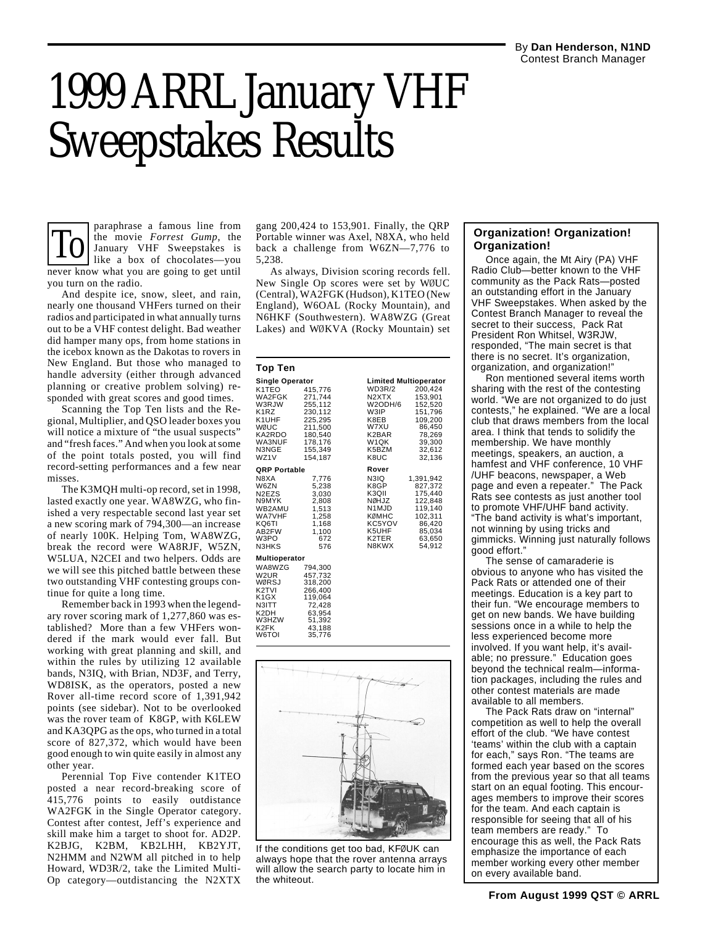# 1999 ARRL January VHF Sweepstakes Results

To the movie *Forrest Gump*, the Bortable winner was Axel, N8XA, who held<br>Islamuary VHF Sweepstakes is back a challenge from W6ZN—7,776 to **Organization!**<br>Iike a box of chocolates—you 5,238. Once again, the Mt Airy (PA) VH paraphrase a famous line from the movie *Forrest Gump*, the January VHF Sweepstakes is like a box of chocolates—you never know what you are going to get until you turn on the radio.

And despite ice, snow, sleet, and rain, nearly one thousand VHFers turned on their radios and participated in what annually turns out to be a VHF contest delight. Bad weather did hamper many ops, from home stations in the icebox known as the Dakotas to rovers in New England. But those who managed to handle adversity (either through advanced planning or creative problem solving) responded with great scores and good times.

Scanning the Top Ten lists and the Regional, Multiplier, and QSO leader boxes you will notice a mixture of "the usual suspects" and "fresh faces." And when you look at some of the point totals posted, you will find record-setting performances and a few near misses.

The K3MQH multi-op record, set in 1998, lasted exactly one year. WA8WZG, who finished a very respectable second last year set a new scoring mark of 794,300—an increase of nearly 100K. Helping Tom, WA8WZG, break the record were WA8RJF, W5ZN, W5LUA, N2CEI and two helpers. Odds are we will see this pitched battle between these two outstanding VHF contesting groups continue for quite a long time.

Remember back in 1993 when the legendary rover scoring mark of 1,277,860 was established? More than a few VHFers wondered if the mark would ever fall. But working with great planning and skill, and within the rules by utilizing 12 available bands, N3IQ, with Brian, ND3F, and Terry, WD8ISK, as the operators, posted a new Rover all-time record score of 1,391,942 points (see sidebar). Not to be overlooked was the rover team of K8GP, with K6LEW and KA3QPG as the ops, who turned in a total score of 827,372, which would have been good enough to win quite easily in almost any other year.

Perennial Top Five contender K1TEO posted a near record-breaking score of 415,776 points to easily outdistance WA2FGK in the Single Operator category. Contest after contest, Jeff's experience and skill make him a target to shoot for. AD2P. K2BJG, K2BM, KB2LHH, KB2YJT, N2HMM and N2WM all pitched in to help Howard, WD3R/2, take the Limited Multi-Op category—outdistancing the N2XTX gang 200,424 to 153,901. Finally, the QRP Portable winner was Axel, N8XA, who held back a challenge from W6ZN—7,776 to 5,238.

As always, Division scoring records fell. New Single Op scores were set by WØUC (Central), WA2FGK (Hudson), K1TEO (New England), W6OAL (Rocky Mountain), and N6HKF (Southwestern). WA8WZG (Great Lakes) and WØKVA (Rocky Mountain) set

#### **Top Ten**

| <b>Single Operator</b>                                                                                    |                                                                                                            |                                                                                                                            | <b>Limited Multioperator</b>                                                                             |
|-----------------------------------------------------------------------------------------------------------|------------------------------------------------------------------------------------------------------------|----------------------------------------------------------------------------------------------------------------------------|----------------------------------------------------------------------------------------------------------|
| K1TEO<br>WA2FGK<br>W3RJW<br>K1RZ<br>K1UHF<br>WØUC<br>KA2RDO<br>WA3NUF<br>N3NGE<br>WZ1V                    | 415,776<br>271,744<br>255,112<br>230,112<br>225,295<br>211,500<br>180,540<br>178.176<br>155,349<br>154.187 | WD3R/2<br>N <sub>2</sub> XT <sub>X</sub><br>W2ODH/6<br>W3IP<br>K8EB<br>W7XU<br>K2BAR<br>W <sub>1</sub> QK<br>K5BZM<br>K8UC | 200,424<br>153,901<br>152,520<br>151,796<br>109,200<br>86,450<br>78,269<br>39,300<br>32,612<br>32,136    |
| QRP Portable                                                                                              |                                                                                                            | Rover                                                                                                                      |                                                                                                          |
| N8XA<br>W6ZN<br>N <sub>2</sub> EZS<br>N9MYK<br>WB2AMU<br><b>WA7VHF</b><br>KQ6TI<br>AB2FW<br>W3PO<br>N3HKS | 7.776<br>5,238<br>3.030<br>2,808<br>1,513<br>1,258<br>1,168<br>1,100<br>672<br>576                         | N3IQ<br>K8GP<br>K3QII<br>NØHJZ<br>N <sub>1</sub> MJD<br>KØMHC<br>KC5YOV<br>K5UHF<br>K2TER<br>N8KWX                         | 1.391.942<br>827,372<br>175,440<br>122,848<br>119,140<br>102,311<br>86,420<br>85,034<br>63.650<br>54,912 |
| Multioperator                                                                                             |                                                                                                            |                                                                                                                            |                                                                                                          |
| WA8WZG<br>W2UR<br>WØRSJ<br>K <sub>2</sub> TVI<br>K1GX<br>N3ITT<br>K2DH<br>W3HZW<br>K2FK<br>W6TOI          | 794,300<br>457,732<br>318,200<br>266,400<br>119,064<br>72,428<br>63,954<br>51,392<br>43,188<br>35.776      |                                                                                                                            |                                                                                                          |



If the conditions get too bad, KFØUK can always hope that the rover antenna arrays will allow the search party to locate him in the whiteout.

## **Organization!**

Once again, the Mt Airy (PA) VHF Radio Club—better known to the VHF community as the Pack Rats—posted an outstanding effort in the January VHF Sweepstakes. When asked by the Contest Branch Manager to reveal the secret to their success, Pack Rat President Ron Whitsel, W3RJW, responded, "The main secret is that there is no secret. It's organization, organization, and organization!"

Ron mentioned several items worth sharing with the rest of the contesting world. "We are not organized to do just contests," he explained. "We are a local club that draws members from the local area. I think that tends to solidify the membership. We have monthly meetings, speakers, an auction, a hamfest and VHF conference, 10 VHF /UHF beacons, newspaper, a Web page and even a repeater." The Pack Rats see contests as just another tool to promote VHF/UHF band activity. "The band activity is what's important, not winning by using tricks and gimmicks. Winning just naturally follows good effort."

The sense of camaraderie is obvious to anyone who has visited the Pack Rats or attended one of their meetings. Education is a key part to their fun. "We encourage members to get on new bands. We have building sessions once in a while to help the less experienced become more involved. If you want help, it's available; no pressure." Education goes beyond the technical realm—information packages, including the rules and other contest materials are made available to all members.

The Pack Rats draw on "internal" competition as well to help the overall effort of the club. "We have contest 'teams' within the club with a captain for each," says Ron. "The teams are formed each year based on the scores from the previous year so that all teams start on an equal footing. This encourages members to improve their scores for the team. And each captain is responsible for seeing that all of his team members are ready." To encourage this as well, the Pack Rats emphasize the importance of each member working every other member on every available band.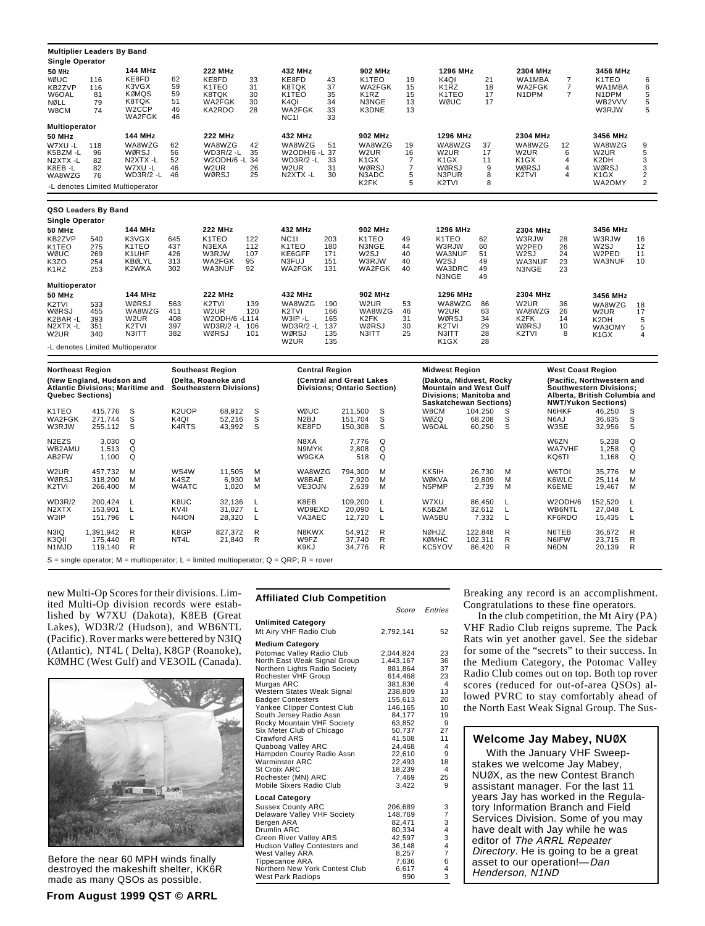|                                                                                          | <b>Multiplier Leaders By Band</b>                                   |                                                                                       |                                     |                                                                                                      |                               |                                                                                                |                                        |                                                                                             |                                           |                                                                                                       |                                        |                                                                                |                                                             |                                                                                               |                                                           |
|------------------------------------------------------------------------------------------|---------------------------------------------------------------------|---------------------------------------------------------------------------------------|-------------------------------------|------------------------------------------------------------------------------------------------------|-------------------------------|------------------------------------------------------------------------------------------------|----------------------------------------|---------------------------------------------------------------------------------------------|-------------------------------------------|-------------------------------------------------------------------------------------------------------|----------------------------------------|--------------------------------------------------------------------------------|-------------------------------------------------------------|-----------------------------------------------------------------------------------------------|-----------------------------------------------------------|
| <b>Single Operator</b><br>50 MHz<br>WØUC<br>KB2ZVP<br>W6OAL<br>NØLL<br>W8CM              | 116<br>116<br>81<br>79<br>74                                        | <b>144 MHz</b><br>KE8FD<br>K3VGX<br>KØMQS<br>K8TQK<br>W <sub>2</sub> CCP<br>WA2FGK    | 62<br>59<br>59<br>51<br>46<br>46    | <b>222 MHz</b><br>KE8FD<br>K <sub>1</sub> T <sub>E</sub> O<br>K8TQK<br>WA2FGK<br>KA2RDO              | 33<br>31<br>30<br>30<br>28    | 432 MHz<br>KE8FD<br>K8TQK<br>K1TEO<br>K4QI<br>WA2FGK<br><b>NC11</b>                            | 43<br>37<br>35<br>34<br>33<br>33       | <b>902 MHz</b><br>K1TEO<br>WA2FGK<br>K1RZ<br>N3NGE<br>K3DNE                                 | 19<br>15<br>15<br>13<br>13                | 1296 MHz<br>K <sub>4</sub> QI<br>K <sub>1</sub> RZ<br>K1TEO<br>WØUC                                   | 21<br>18<br>17<br>17                   | 2304 MHz<br>WA1MBA<br>WA2FGK<br>N <sub>1</sub> DPM                             | $\overline{\mathbf{7}}$<br>$\overline{7}$<br>$\overline{7}$ | 3456 MHz<br>K1TEO<br>WA1MBA<br>N <sub>1</sub> DPM<br>WB2VVV<br>W3RJW                          | 6<br>6<br>5<br>5<br>5                                     |
| Multioperator<br><b>50 MHz</b><br>W7XU -L<br>K5BZM-L<br>N2XTX-L<br>K8EB -L<br>WA8WZG     | 118<br>96<br>82<br>82<br>76<br>-L denotes Limited Multioperator     | 144 MHz<br>WA8WZG<br>WØRSJ<br>N2XTX-L<br>W7XU -L<br>WD3R/2 -L                         | 62<br>56<br>52<br>46<br>46          | <b>222 MHz</b><br>WA8WZG<br>WD3R/2 -L<br>W2ODH/6-L<br>W2UR<br>WØRSJ                                  | 42<br>35<br>34<br>26<br>25    | 432 MHz<br>WA8WZG<br>W2ODH/6-L<br>WD3R/2 -L<br>W <sub>2</sub> UR<br>N2XTX-L                    | 51<br>37<br>33<br>31<br>30             | 902 MHz<br>WA8WZG<br>W2UR<br>K <sub>1</sub> GX<br>WØRSJ<br>N3ADC<br>K <sub>2</sub> FK       | 19<br>16<br>7<br>$\overline{7}$<br>5<br>5 | 1296 MHz<br>WA8WZG<br>W2UR<br>K1GX<br>WØRSJ<br>N3PUR<br>K <sub>2</sub> TVI                            | 37<br>17<br>11<br>9<br>8<br>8          | 2304 MHz<br>WA8WZG<br>W <sub>2</sub> UR<br>K <sub>1</sub> GX<br>WØRSJ<br>K2TVI | 12<br>6<br>4<br>4<br>$\overline{\mathbf{4}}$                | 3456 MHz<br>WA8WZG<br>W <sub>2</sub> UR<br>K2DH<br>WØRSJ<br>K1GX<br>WA2OMY                    | 9<br>5<br>$\begin{array}{c} 3 \\ 3 \\ 2 \\ 2 \end{array}$ |
|                                                                                          | QSO Leaders By Band                                                 |                                                                                       |                                     |                                                                                                      |                               |                                                                                                |                                        |                                                                                             |                                           |                                                                                                       |                                        |                                                                                |                                                             |                                                                                               |                                                           |
| <b>Single Operator</b><br>50 MHz<br>KB2ZVP<br>K1TEO<br>WØUC<br>K3ZO<br>K <sub>1</sub> RZ | 540<br>275<br>269<br>254<br>253                                     | 144 MHz<br>K3VGX<br>K1TEO<br>K1UHF<br><b>KBØLYL</b><br>K2WKA                          | 645<br>437<br>426<br>313<br>302     | <b>222 MHz</b><br>K <sub>1</sub> T <sub>EO</sub><br>N3EXA<br>W3RJW<br>WA2FGK<br>WA3NUF               | 122<br>112<br>107<br>95<br>92 | 432 MHz<br><b>NC11</b><br>K <sub>1</sub> T <sub>EO</sub><br>KE6GFF<br>N3FUJ<br>WA2FGK          | 203<br>180<br>171<br>151<br>131        | 902 MHz<br>K <sub>1</sub> T <sub>E</sub> O<br>N3NGE<br>W <sub>2</sub> SJ<br>W3RJW<br>WA2FGK | 49<br>44<br>40<br>40<br>40                | 1296 MHz<br>K <sub>1</sub> T <sub>E</sub> O<br>W3RJW<br>WA3NUF<br>W <sub>2</sub> SJ<br>WA3DRC         | 62<br>60<br>51<br>49<br>49             | 2304 MHz<br>W3RJW<br>W2PED<br>W2SJ<br>WA3NUF<br>N3NGE                          | 28<br>26<br>24<br>23<br>23                                  | 3456 MHz<br>W3RJW<br>W2SJ<br>W2PED<br>WA3NUF                                                  | 16<br>12<br>11<br>10                                      |
| <b>Multioperator</b><br><b>50 MHz</b><br>K2TVI<br>WØRSJ<br>K2BAR -L<br>N2XTX-L<br>W2UR   | 533<br>455<br>393<br>351<br>340<br>-L denotes Limited Multioperator | <b>144 MHz</b><br>WØRSJ<br>WA8WZG<br>W <sub>2</sub> UR<br>K <sub>2</sub> TVI<br>N3ITT | 563<br>411<br>408<br>397<br>382     | <b>222 MHz</b><br>K <sub>2</sub> TVI<br>W <sub>2</sub> UR<br>W2ODH/6 -L114<br>WD3R/2 -L 106<br>WØRSJ | 139<br>120<br>101             | 432 MHz<br>WA8WZG<br>K <sub>2</sub> TVI<br>W3IP-L<br>$WD3R/2 -L$<br>WØRSJ<br>W <sub>2</sub> UR | 190<br>166<br>165<br>137<br>135<br>135 | 902 MHz<br>W <sub>2</sub> UR<br>WA8WZG<br>K2FK<br>WØRSJ<br>N3ITT                            | 53<br>46<br>31<br>30<br>25                | N3NGE<br>1296 MHz<br>WA8WZG<br>W2UR<br>WØRSJ<br>K2TVI<br>N3ITT<br>K <sub>1</sub> GX                   | 49<br>86<br>63<br>34<br>29<br>28<br>28 | 2304 MHz<br>W2UR<br>WA8WZG<br>K2FK<br>WØRSJ<br>K2TVI                           | 36<br>26<br>14<br>10<br>8                                   | 3456 MHz<br>WA8WZG<br>W2UR<br>K2DH<br>WA3OMY<br>K1GX                                          | 18<br>17<br>5<br>5<br>4                                   |
| <b>Northeast Region</b><br><b>Quebec Sections)</b>                                       | (New England, Hudson and                                            | <b>Atlantic Divisions; Maritime and</b>                                               |                                     | <b>Southeast Region</b><br>(Delta, Roanoke and<br><b>Southeastern Divisions)</b>                     |                               |                                                                                                | <b>Central Region</b>                  | (Central and Great Lakes<br><b>Divisions: Ontario Section)</b>                              |                                           | Midwest Region<br>(Dakota, Midwest, Rocky<br><b>Mountain and West Gulf</b><br>Divisions; Manitoba and |                                        |                                                                                | <b>West Coast Region</b>                                    | (Pacific, Northwestern and<br><b>Southwestern Divisions:</b><br>Alberta, British Columbia and |                                                           |
| K <sub>1</sub> TEO<br>WA2FGK<br>W3RJW                                                    | 415,776<br>271,744<br>255,112                                       | S<br>S<br>S                                                                           | K <sub>2</sub> UOP<br>K4QI<br>K4RTS | 68,912<br>52,216<br>43,992                                                                           | s<br>S<br>S                   | WØUC<br>N <sub>2</sub> BJ<br>KE8FD                                                             |                                        | 211,500<br>s<br>S<br>151,704<br>150,308<br>S                                                |                                           | Saskatchewan Sections)<br>W8CM<br>WØZQ<br>W6OAL                                                       | 104,250<br>68,208<br>60,250            | S<br>S<br>S                                                                    | N6HKF<br>N6AJ<br>W3SE                                       | <b>NWT/Yukon Sections)</b><br>46,250<br>36,635<br>32,956                                      | S<br>S<br>S                                               |
| N <sub>2</sub> EZ <sub>S</sub><br>WB2AMU<br>AB2FW                                        | 3.030<br>1,513<br>1,100                                             | Q<br>Q<br>Q                                                                           |                                     |                                                                                                      |                               | N8XA<br>N9MYK<br>W9GKA                                                                         |                                        | Q<br>7,776<br>Q<br>2,808<br>518<br>Q                                                        |                                           |                                                                                                       |                                        |                                                                                | W6ZN<br><b>WA7VHF</b><br>KQ6TI                              | 5,238<br>1,258<br>1,168                                                                       | Q<br>Q<br>Q                                               |
| W <sub>2</sub> UR<br>WØRSJ<br>K2TVI                                                      | 457,732<br>318,200<br>266,400                                       | м<br>M<br>M                                                                           | WS4W<br>K4SZ<br>W4ATC               | 11,505<br>6,930<br>1,020                                                                             | M<br>M<br>M                   | WA8WZG<br>W8BAE<br>VE3OJN                                                                      |                                        | 794,300<br>M<br>7,920<br>M<br>2,639<br>M                                                    |                                           | KK5IH<br>WØKVA<br>N5PMP                                                                               | 26,730<br>19,809<br>2,739              | м<br>M<br>M                                                                    | W6TOI<br>K6WLC<br>K6EME                                     | 35,776<br>25,114<br>19,467                                                                    | м<br>м<br>M                                               |
| WD3R/2<br>N <sub>2</sub> XT <sub>X</sub><br>W3IP                                         | 200.424<br>153,901<br>151,796                                       | L<br>L<br>L                                                                           | K8UC<br>KV <sub>41</sub><br>N4ION   | 32.136<br>31,027<br>28,320                                                                           | L<br>L<br>L                   | K8EB<br>WD9EXD<br>VA3AEC                                                                       |                                        | 109.200<br>L<br>20,090<br>L<br>12,720<br>L                                                  |                                           | W7XU<br>K5BZM<br>WA5BU                                                                                | 86.450<br>32,612<br>7,332              | L<br>Г<br>L                                                                    | W2ODH/6<br>WB6NTL<br>KF6RDO                                 | 152.520<br>27,048<br>15,435                                                                   | т.<br>L<br>L                                              |
| N3IQ<br>K3QII<br>N <sub>1</sub> MJD                                                      | 1,391,942<br>175,440<br>119,140                                     | R<br>R<br>R                                                                           | K8GP<br>NT4L                        | 827,372<br>21,840                                                                                    | R<br>R                        | N8KWX<br>W9FZ<br>K9KJ                                                                          |                                        | R<br>54,912<br>37,740<br>R<br>34,776<br>R                                                   |                                           | <b>NØHJZ</b><br><b>KØMHC</b><br>KC5YOV                                                                | 122,848<br>102,311<br>86,420           | R<br>R<br>R                                                                    | N6TEB<br>N6IFW<br>N6DN                                      | 36,672<br>23,715<br>20,139                                                                    | R<br>R<br>R                                               |

 $S = \text{single operator: } M = \text{multic operator: } L = \text{limited multio operator: } Q = \text{ORP: } R = \text{rover}$ 

new Multi-Op Scores for their divisions. Limited Multi-Op division records were established by W7XU (Dakota), K8EB (Great Lakes), WD3R/2 (Hudson), and WB6NTL (Pacific). Rover marks were bettered by N3IQ (Atlantic), NT4L ( Delta), K8GP (Roanoke), KØMHC (West Gulf) and VE3OIL (Canada).



Before the near 60 MPH winds finally destroyed the makeshift shelter, KK6R made as many QSOs as possible.

#### **Affiliated Club Competition**

|                                |           | Score Entries  |
|--------------------------------|-----------|----------------|
| <b>Unlimited Category</b>      |           |                |
| Mt Airy VHF Radio Club         | 2,792,141 | 52             |
| <b>Medium Category</b>         |           |                |
| Potomac Valley Radio Club      | 2,044,824 | 23             |
| North East Weak Signal Group   | 1.443.167 | 36             |
| Northern Lights Radio Society  | 881,864   | 37             |
| Rochester VHF Group            | 614,468   | 23             |
| Murgas ARC                     | 381.836   | $\overline{4}$ |
| Western States Weak Signal     | 238,809   | 13             |
| <b>Badger Contesters</b>       | 155,613   | 20             |
| Yankee Clipper Contest Club    | 146,165   | 10             |
| South Jersey Radio Assn        | 84,177    | 19             |
| Rocky Mountain VHF Society     | 63,852    | - 9            |
| Six Meter Club of Chicago      | 50,737    | 27             |
| Crawford ARS                   | 41,508    | 11             |
| Quaboag Valley ARC             | 24,468    | 4              |
| Hampden County Radio Assn      | 22.610    | 9              |
| Warminster ARC                 | 22.493    | 18             |
| <b>St Croix ARC</b>            | 18,239    | 4              |
| Rochester (MN) ARC             | 7.469     | 25             |
| Mobile Sixers Radio Club       | 3.422     | 9              |
| Local Category                 |           |                |
| <b>Sussex County ARC</b>       | 206,689   | 3              |
| Delaware Valley VHF Society    | 148,769   | $\overline{7}$ |
| Bergen ARA                     | 82.471    | 3              |
| Drumlin ARC                    | 80.334    | 4              |
| Green River Valley ARS         | 42,597    | 3              |
| Hudson Valley Contesters and   | 36.148    | 4              |
| West Valley ARA                | 8,257     | 7              |
| Tippecanoe ARA                 | 7,636     | 6              |
| Northern New York Contest Club | 6.617     | 4              |
| West Park Radiops              | 990       | 3              |

Breaking any record is an accomplishment. Congratulations to these fine operators.

In the club competition, the Mt Airy (PA) VHF Radio Club reigns supreme. The Pack Rats win yet another gavel. See the sidebar for some of the "secrets" to their success. In the Medium Category, the Potomac Valley Radio Club comes out on top. Both top rover scores (reduced for out-of-area QSOs) allowed PVRC to stay comfortably ahead of the North East Weak Signal Group. The Sus-

#### **Welcome Jay Mabey, NUØX**

With the January VHF Sweepstakes we welcome Jay Mabey, NUØX, as the new Contest Branch assistant manager. For the last 11 years Jay has worked in the Regulatory Information Branch and Field Services Division. Some of you may have dealt with Jay while he was editor of The ARRL Repeater Directory. He is going to be a great asset to our operation!—Dan Henderson, N1ND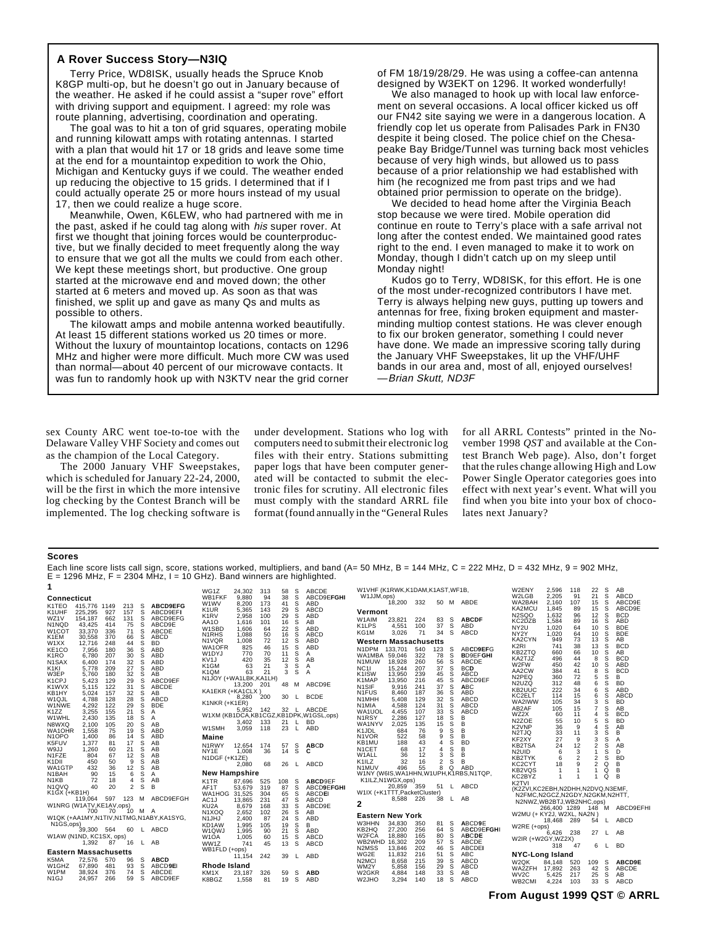#### **A Rover Success Story—N3IQ**

Terry Price, WD8ISK, usually heads the Spruce Knob K8GP multi-op, but he doesn't go out in January because of the weather. He asked if he could assist a "super rove" effort with driving support and equipment. I agreed: my role was route planning, advertising, coordination and operating.

The goal was to hit a ton of grid squares, operating mobile and running kilowatt amps with rotating antennas. I started with a plan that would hit 17 or 18 grids and leave some time at the end for a mountaintop expedition to work the Ohio, Michigan and Kentucky guys if we could. The weather ended up reducing the objective to 15 grids. I determined that if I could actually operate 25 or more hours instead of my usual 17, then we could realize a huge score.

Meanwhile, Owen, K6LEW, who had partnered with me in the past, asked if he could tag along with his super rover. At first we thought that joining forces would be counterproductive, but we finally decided to meet frequently along the way to ensure that we got all the mults we could from each other. We kept these meetings short, but productive. One group started at the microwave end and moved down; the other started at 6 meters and moved up. As soon as that was finished, we split up and gave as many Qs and mults as possible to others.

The kilowatt amps and mobile antenna worked beautifully. At least 15 different stations worked us 20 times or more. Without the luxury of mountaintop locations, contacts on 1296 MHz and higher were more difficult. Much more CW was used than normal—about 40 percent of our microwave contacts. It was fun to randomly hook up with N3KTV near the grid corner

of FM 18/19/28/29. He was using a coffee-can antenna designed by W3EKT on 1296. It worked wonderfully!

We also managed to hook up with local law enforcement on several occasions. A local officer kicked us off our FN42 site saying we were in a dangerous location. A friendly cop let us operate from Palisades Park in FN30 despite it being closed. The police chief on the Chesapeake Bay Bridge/Tunnel was turning back most vehicles because of very high winds, but allowed us to pass because of a prior relationship we had established with him (he recognized me from past trips and we had obtained prior permission to operate on the bridge).

We decided to head home after the Virginia Beach stop because we were tired. Mobile operation did continue en route to Terry's place with a safe arrival not long after the contest ended. We maintained good rates right to the end. I even managed to make it to work on Monday, though I didn't catch up on my sleep until Monday night!

Kudos go to Terry, WD8ISK, for this effort. He is one of the most under-recognized contributors I have met. Terry is always helping new guys, putting up towers and antennas for free, fixing broken equipment and masterminding multiop contest stations. He was clever enough to fix our broken generator, something I could never have done. We made an impressive scoring tally during the January VHF Sweepstakes, lit up the VHF/UHF bands in our area and, most of all, enjoyed ourselves! —Brian Skutt, ND3F

sex County ARC went toe-to-toe with the Delaware Valley VHF Society and comes out as the champion of the Local Category.

The 2000 January VHF Sweepstakes, which is scheduled for January 22-24, 2000, will be the first in which the more intensive log checking by the Contest Branch will be implemented. The log checking software is

under development. Stations who log with computers need to submit their electronic log files with their entry. Stations submitting paper logs that have been computer generated will be contacted to submit the electronic files for scrutiny. All electronic files must comply with the standard ARRL file format (found annually in the "General Rules for all ARRL Contests" printed in the November 1998 *QST* and available at the Contest Branch Web page). Also, don't forget that the rules change allowing High and Low Power Single Operator categories goes into effect with next year's event. What will you find when you bite into your box of chocolates next January?

#### **Scores**

Each line score lists call sign, score, stations worked, multipliers, and band (A= 50 MHz, B = 144 MHz, C = 222 MHz, D = 432 MHz, 9 = 902 MHz,  $E = 1296$  MHz,  $F = 2304$  MHz, I = 10 GHz). Band winners are highlighted.

|                                           |                              |            |            |        |                                        | WG1Z                                                 | 24,302         | 313        | 58       | S                  | <b>ABCDE</b>                          | W1VHF (K1RWK,K1DAM,K1AST,WF1B, |                    |            |                     |              |                                          | W2ENY                                                      | 2,596          | 118            | 22                  | S      | AB                       |
|-------------------------------------------|------------------------------|------------|------------|--------|----------------------------------------|------------------------------------------------------|----------------|------------|----------|--------------------|---------------------------------------|--------------------------------|--------------------|------------|---------------------|--------------|------------------------------------------|------------------------------------------------------------|----------------|----------------|---------------------|--------|--------------------------|
| Connecticut                               |                              |            |            |        |                                        | WB1FKF                                               | 9,880          | 94         | 38       | S                  | ABCD9EFGHI                            | W1JJM,ops)                     |                    |            |                     |              |                                          | W2LGB                                                      | 2,205          | 91             | 21                  | S      | <b>ABCD</b>              |
| K1TEO                                     | 415,776                      | 1149       | 213        | s      | <b>ABCD9EFG</b>                        | W <sub>1</sub> WV<br>K <sub>1</sub> UR               | 8.200<br>5,365 | 173<br>143 | 41<br>29 | s<br>s             | ABD<br>ABCD                           |                                | 18.200             | 332        |                     |              | 50 M ABDE                                | WA2BAH<br>KA2MCU                                           | 2.160<br>1,845 | 107<br>89      | 15<br>15            | s<br>s | ABCD9E<br>ABCD9E         |
| K1UHF<br>WZ1V                             | 225,295<br>154.187           | 927<br>662 | 157<br>131 | s<br>s | ABCD9EFI<br>ABCD9EFG                   | K <sub>1</sub> R <sub>V</sub>                        | 2,958          | 100        | 29       | S                  | ABD                                   | Vermont                        |                    |            |                     |              |                                          | <b>N2SQO</b>                                               | 1.632          | 96             | 12                  | S      | <b>BCD</b>               |
| N1NQD                                     | 43,425                       | 414        | 75         | s      | ABCD9E                                 | AA1O                                                 | 1,616          | 101        | 16       | s                  | AB                                    | W1AIM<br>K1LPS                 | 23,821<br>4,551    | 224<br>100 | 83<br>37            | s<br>S       | <b>ABCDF</b><br>ABD                      | KC2DZB                                                     | 1,584          | 89             | 16                  | s      | ABD                      |
| W1COT                                     | 33,370                       | 336        | 71         | S      | <b>ABCDE</b>                           | W1SBD                                                | 1.606          | 64         | 22       | S                  | ABD                                   | KG1M                           | 3,026              | 71         | 34                  | S            | ABCD                                     | NY <sub>2U</sub><br>NY <sub>2</sub> Y                      | 1.020<br>1.020 | 64<br>64       | 10<br>10            | S<br>Š | <b>BDE</b><br><b>BDE</b> |
| K <sub>1</sub> EM                         | 30.558                       | 370        | 66         | s      | <b>ABCD</b>                            | N <sub>1</sub> RH <sub>S</sub><br>N <sub>1</sub> VQR | 1.088<br>1,008 | 50<br>72   | 16<br>12 | S<br>s             | ABCD<br>ABD                           | <b>Western Massachusetts</b>   |                    |            |                     |              |                                          | KA2CYN                                                     | 949            | 73             | 13                  | S      | AB                       |
| W1XX<br>KE <sub>1</sub> CO                | 12,716<br>7.956              | 248<br>180 | 44<br>36   | S<br>S | <b>BD</b><br>ABD                       | WA1OFR                                               | 825            | 46         | 15       | S                  | ABD                                   | N1DPM 133,701                  |                    | 540        | 123                 | s            | ABCD9EFG                                 | K <sub>2</sub> RI                                          | 741            | 38             | 13                  | S      | <b>BCD</b>               |
| K1RO                                      | 6,780                        | 207        | 30         | s      | <b>ABD</b>                             | W1DYJ                                                | 770            | 70         | 11       | S                  | A                                     | WA1MBA                         | 59,046             | 322        | 78                  | s            | <b>BD9EFGHI</b>                          | KB2ZTQ                                                     | 660            | 66             | 10                  | s      | AB                       |
| N <sub>1</sub> SAX                        | 6.400                        | 174        | 32         | S      | <b>ABD</b>                             | KV <sub>1</sub> J<br>K <sub>1</sub> GM               | 420<br>63      | 35<br>21   | 12<br>3  | S<br>S             | AB<br>A                               | N <sub>1</sub> MUW             | 18,928             | 260        | 56                  | S            | ABCDE                                    | KA2TJZ<br>W2FW                                             | 496<br>450     | 44<br>42       | 8<br>10             | S<br>S | <b>BCD</b><br>ABD        |
| K <sub>1</sub> KI                         | 5.778                        | 209        | 27<br>32   | s      | ABD<br>AB                              | K <sub>1</sub> QM                                    | 63             | 21         | 3        | s                  | A                                     | NC <sub>1</sub>                | 15,244             | 207<br>239 | 37<br>45            | <sub>S</sub> | <b>BCD</b>                               | AA2CW                                                      | 384            | 41             | 8                   | s      | <b>BCD</b>               |
| W3EP<br>K <sub>1</sub> C <sub>P</sub>     | 5.760<br>5.423               | 180<br>129 | 29         | s<br>S | ABCD9EF                                | N1JOY (+WA1LBK,KA1LH)                                |                |            |          |                    |                                       | K <sub>1</sub> ISW<br>K1MAP    | 13,950<br>13,950   | 216        | 45                  | s<br>S       | ABCD<br>ABCD9EF                          | N <sub>2</sub> PEQ                                         | 360            | 72             | 5                   | S      | B                        |
| K <sub>1</sub> WV <sub>X</sub>            | 5.115                        | 122        | 31         | s      | <b>ABCDE</b>                           |                                                      | 13,200         | 201        | 48 M     |                    | ABCD9E                                | N <sub>1</sub> SIF             | 9.916              | 241        | 37                  | s            | <b>ABC</b>                               | N <sub>2</sub> U <sub>Z</sub> Q<br>KB2UUC                  | 312<br>222     | 48<br>34       | 6<br>6              | Š<br>S | <b>BD</b><br>ABD         |
| KB1HY                                     | 5.024                        | 157        | 32         | S      | AB                                     | KA1EKR (+KA1CLX)                                     | 8,280          | 200        | 30       |                    | <b>BCDE</b>                           | N <sub>1</sub> FUS             | 8.460              | 187        | 36                  | S            | ABD                                      | KC2ELT                                                     | 114            | 15             | 6                   | S      | ABCD                     |
| W1QJL<br>W1NWE                            | 4.788<br>4.292               | 128<br>122 | 28<br>29   | S<br>s | ABCD<br><b>BDE</b>                     | K1NKR (+K1ER)                                        |                |            |          |                    |                                       | N1MHH<br>N <sub>1</sub> MIA    | 5.408<br>4.588     | 129<br>124 | 32<br>31            | S<br>S       | ABCD<br>ABCD                             | WA2IWW                                                     | 105            | 34             | 3                   | S      | <b>BD</b>                |
| K <sub>1</sub> ZZ                         | 3,255                        | 155        | 21         | S      | Α                                      |                                                      | 5.952          | - 142      |          |                    | 32 L ABCDE                            | WA1UOL                         | 4,455              | 107        | 33                  | s            | ABCD                                     | AB2AF<br>WZ2X                                              | 105            | 15             |                     | s<br>Š | AB<br><b>BCD</b>         |
| W1WHL                                     | 2.430                        | 135        | 18         | S      | Α                                      |                                                      |                |            |          |                    | W1XM (KB1DCA,KB1CGZ,KB1DPK,W1GSL,ops) | N <sub>1</sub> RSY             | 2.286              | 127        | 18                  | s            | B                                        | N <sub>2</sub> ZOE                                         | 60<br>55       | 11<br>10       | 4<br>5              | S      | <b>BD</b>                |
| N8WXQ                                     | 2,100                        | 105        | 20         | s      | AB                                     | W1SMH                                                | 3,402<br>3,059 | 133<br>118 | 21<br>23 | $\mathsf{L}$<br>L. | <b>BD</b><br><b>ABD</b>               | WA1NYV                         | 2,025              | 135        | 15                  | s            | B                                        | K <sub>2</sub> VNP                                         | 36             | 9              |                     | S      | AB                       |
| WA1OHR<br>N <sub>1</sub> OPO              | 1.558<br>1.400               | 75<br>86   | 19<br>14   | S<br>s | ABD<br>ABD                             | Maine                                                |                |            |          |                    |                                       | K1JDL<br>N <sub>1</sub> VOR    | 684<br>522         | 76<br>58   | 9<br>9              | s<br>S       | B<br>B                                   | N <sub>2</sub> TJQ                                         | 33             | 11             | 3                   | S      | в                        |
| K5FUV                                     | 1,377                        | 81         | 17         | s      | AB                                     | N1RWY                                                | 12.654         | 174        | 57       | s                  | <b>ABCD</b>                           | KB1MU                          | 188                | 43         | $\overline{4}$      | S            | <b>BD</b>                                | KF2XY<br>KB2TSA                                            | 27<br>24       | 9<br>12        | 3<br>$\overline{2}$ | S<br>S | A<br>AB                  |
| W9JJ                                      | 1.260                        | 60         | 21         | S      | AB                                     | NY <sub>1</sub> E                                    | 1.008          | 36         | 14       | S                  | С                                     | N <sub>1</sub> CET             | 68                 | 17         | $\overline{4}$      | s            | B                                        | N <sub>2</sub> UID                                         | 6              | 3              |                     | S      | D                        |
| N1FZE                                     | 804<br>450                   | 67         | 12         | s<br>s | AB<br>AB                               | N1DGF (+K1ZE)                                        |                |            |          |                    |                                       | W1ALL<br>K1ILZ                 | 36                 | 12<br>16   | 3<br>$\overline{2}$ | Ś<br>S       | B<br>B                                   | KB2TYK                                                     | 6              | $\overline{2}$ | $\overline{2}$      | S      | <b>BD</b>                |
| K <sub>1</sub> DII<br>WA1GTP              | 432                          | 50<br>36   | 9<br>12    | s      | AB                                     |                                                      | 2,080          | 68         | 26       |                    | ABCD                                  | N1MUV                          | 32<br>496          | 55         | 8                   | Q            | ABD                                      | KC2CYT                                                     | 18             | 9              | $\overline{2}$      | Q      | B                        |
| N1BAH                                     | 90                           | 15         | 6          | S      | Α                                      | <b>New Hampshire</b>                                 |                |            |          |                    |                                       |                                |                    |            |                     |              | W1NY (W6IS, WA1HHN, W1UPH, K1RBS, N1TQP, | KB2VQS<br>KC2BYZ                                           |                |                |                     | Q<br>Q | в<br>B                   |
| N <sub>1</sub> KB                         | 72                           | 18         | 4          | s      | AB                                     | K <sub>1</sub> TR                                    | 87.696         | 525        | 108      | S                  | ABCD9EF                               |                                | K1ILZ, N1WGX, ops) |            |                     |              |                                          | K <sub>2</sub> TVI                                         |                |                |                     |        |                          |
| N <sub>1</sub> QVQ<br><b>K1GX (+KB1H)</b> | 40                           | 20         | 2          | s      | B                                      | AF1T                                                 | 53,679         | 319        | 87       | S                  | ABCD9EFGHI                            | W1IX (+K1TTT, PacketCluster)   | 20,859             | 359        | 51                  | $\mathsf{L}$ | ABCD                                     | (K2ZVI.KC2EBH.N2DHH.N2DVQ.N3EMF.                           |                |                |                     |        |                          |
|                                           | 119.064                      | 597        | 123 M      |        | ABCD9EFGH                              | WA1HOG 31.525<br>AC <sub>1</sub>                     | 13,865         | 304<br>231 | 65<br>47 | S<br>s             | ABCDEI<br><b>ABCD</b>                 |                                | 8.588              | 226        | 38                  | L.           | AB                                       | N2FMC,N2GCZ,N2GDY,N2GKM,N2HTT,<br>N2NWZ.WB2BTJ.WB2NHC.ops) |                |                |                     |        |                          |
|                                           | W1NRG (W1ATV, KE1AV, ops)    |            |            |        |                                        | KU <sub>2</sub> A                                    | 8,679          | 168        | 33       | S                  | ABCD9E                                | 2                              |                    |            |                     |              |                                          |                                                            | 266,400 1289   |                | 148 M               |        | ABCD9EFHI                |
|                                           | 700                          | 70         | 10 M A     |        |                                        | N <sub>1</sub> XOQ                                   | 2,652          | 102        | 26       | s                  | AB                                    | <b>Eastern New York</b>        |                    |            |                     |              |                                          | W2MU (+ KY2J, W2XL, NA2N                                   |                |                |                     |        |                          |
| N <sub>1</sub> GS, ops)                   |                              |            |            |        | W1QK (+AA1MY.N1TIV.N1TMG.N1ABY.KA1SYG. | N <sub>1</sub> JHJ<br>KD1AW                          | 2,400<br>1.995 | 87<br>105  | 24<br>19 | S<br>s             | ABD<br>в                              | <b>W3HHN</b>                   | 34,830             | 350        | 81                  | <sub>S</sub> | ABCD9E                                   |                                                            | 18,468 289     |                | 54                  | L      | ABCD                     |
|                                           | 39.300 564                   |            | 60 L       |        | ABCD                                   | W <sub>1</sub> QWJ                                   | 1.995          | 90         | 21       | s                  | ABD                                   | KB2HQ                          | 27.200             | 256        | 64                  | S            | ABCD9EFGHI                               | W2RE (+ops)                                                | 6.426          | 238            | 27                  | L.     | AB                       |
|                                           | W1AW (N1ND, KC1SX, ops)      |            |            |        |                                        | W <sub>1</sub> OA                                    | 1,005          | 60         | 15       | s                  | ABCD                                  | W2FCA                          | 18,880             | 165        | 80                  | s            | <b>ABCDE</b>                             | W2IR (+W2GY, WZ2X)                                         |                |                |                     |        |                          |
|                                           | 1.392                        | 87         | 16         | L.     | AB                                     | WW1Z                                                 | 741            | 45         | 13       | S                  | ABCD                                  | WB2WHD 16.302<br>N2MSS         | 13,846             | 209<br>202 | 57<br>46            | Ŝ<br>s       | ABCDE<br><b>ABCDEI</b>                   |                                                            | 318            | 47             | 6                   | L      | <b>BD</b>                |
|                                           | <b>Eastern Massachusetts</b> |            |            |        |                                        | WB1FLD (+ops)                                        | 11,154         | 242        | 39       | L.                 | ABD                                   | WG2E                           | 11,832             | 216        | 51                  | S            | ABC                                      | <b>NYC-Long Island</b>                                     |                |                |                     |        |                          |
| K5MA                                      | 72,576                       | 570        | 96         | s      | <b>ABCD</b>                            |                                                      |                |            |          |                    |                                       | N <sub>2</sub> M <sub>C</sub>  | 8.658              | 215        | 39                  | s            | ABCD                                     | W <sub>2</sub> QK                                          | 84.148         | 520            | 109                 | s      | ABCD9E                   |
| W1GHZ<br>W1PM                             | 67.890<br>38,924             | 481<br>376 | 93<br>74   | S<br>S | ABCD9EI<br><b>ABCDE</b>                | Rhode Island<br>KM <sub>1</sub> X                    | 23.187         | 326        |          | s                  | <b>ABD</b>                            | WM2Y<br>W <sub>2</sub> GKR     | 5.858<br>4.884     | 156        | 29<br>33            | s<br>s       | ABCD<br>AB                               | WA2ZFH 17,892                                              |                | 263            | 42                  | s      | ABCDE                    |
| N1GJ                                      | 24,957                       | 266        | 59         | S      | ABCD9EF                                | K8BGZ                                                | 1,558          | 81         | 59<br>19 | -S                 | ABD                                   | W2JHO                          | 3,294              | 148<br>140 | 18                  | S            | ABCD                                     | WV <sub>2</sub> C                                          | 5.425          | 217            | 25<br>33            | S      | AB<br>ABCD               |
|                                           |                              |            |            |        |                                        |                                                      |                |            |          |                    |                                       |                                |                    |            |                     |              |                                          | WB2CMI                                                     | 4,224          | 103            |                     | - S    |                          |

#### **From August 1999 QST © ARRL**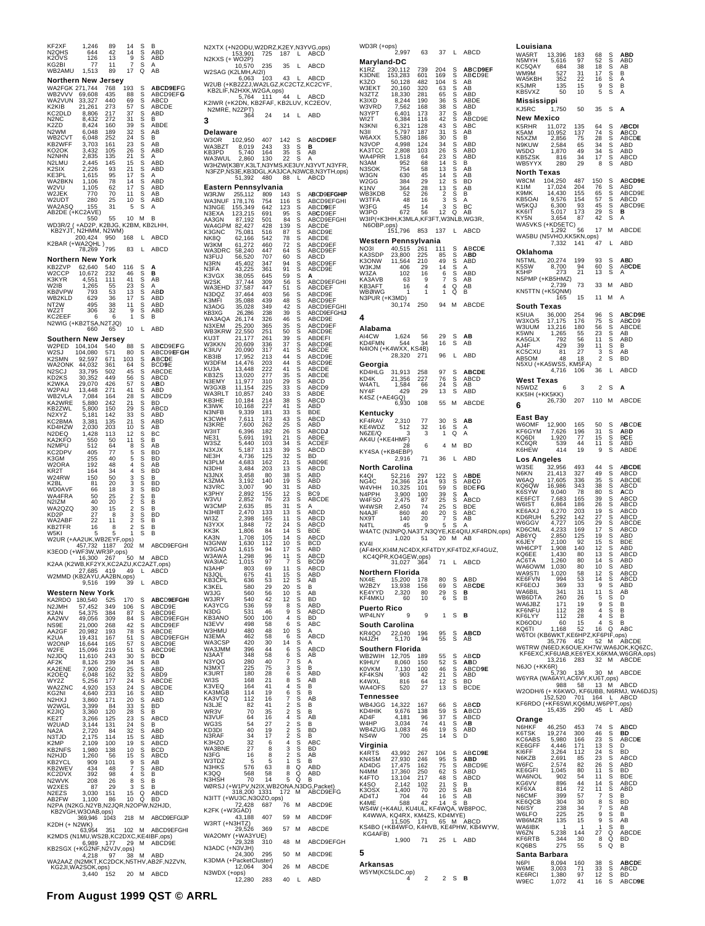KF2XF 1,246 89 14 S B N2QHS 644 42 14 S ABD K2OVS 126 13 9 S ABD KG2BI 77 11 7 S A WB2AMU 1,513 89 17 Q AB **Northern New Jersey**<br>WA2FGK 271,744 768 193<br>WB2VVV 69,608 435 88 WA2FGK 271,744 768 193 S **ABCD9EF**G WB2VVV 69,608 435 88 S ABCD9EF**G** WA2VUN 33,327 440 69 S ABCD K2KIB 21,261 273 57 S ABCDE KC2DLD 8,806 217 37 S ABD N2NC 8,432 272 31 S B KC2DLD 8,806 217 37 S ABD<br>K2ZD 8,432 272 31 S B<br>K2ZD 8,424 160 39 S ABDE<br>WB2CVT 6,048 252 24 S B<br>WB2CVT 6,048 252 24 S B<br>KB2WFF 3,703 161 22 S B ABD<br>KC3DK 4,3432 105 26 S ABD<br>N2LMU 2,445 145 15 S ABD<br>KE3IN 2,245 145 11 S A N2WM 6,048 189 32 S AB WB2CVT 6,048 252 24 S B<br>KB2WFF 3,703 161 226 S BAB<br>KO2OKF 3,432 105 226 S BAB<br>N2LMU 2,445 145 15 S ABD<br>N2LMU 2,445 145 15 S ABD<br>KESIX 2,226 93 217 S ABD<br>WAZBKN 1,105 78 147 S ABD<br>WAZBKN 1,105 78 147 S ABD KB2WFF 3,703 161 23 S AB KO2OK<br>N2NHN N2NHN 2,835 135 21 S A N2LMU 2,445 145 15 S ABD K2SIX 2,226 93 21 S ABD KE3PL 1,615 95 17 S A WA2BKN 1,106 78 14 S ABD W2VU 1,105 62 17 S ABD W2VU 1,100 62 17 S ABU<br>W2JEK 770 70 11 S AB<br>W2UDT 280 25 10 S ABD<br>WA2ASQ 155 31 5 S A WA2UDT 280 25 10 S ABD<br>WA2ASQ 155 31 5 S A<br>AB2DE (+KC2AVE) 55 10 M B<br>WD3R/2 (+AD2P, K2BJG, K2BM, KB2LHH,<br>KB2YJT, N2HMM, N2WM)<br>Z200,424 950 168 L ABCD<br>K2BAR (+WA2QHL )<br>78,269 795 83 L ABCD **Northern New York EXECUTE THE READ 540 540 116 S A<br>
W2CCP 10,672 232 46 S B<br>
W2CCP 10,672 232 46 S B<br>
KB8VPW 74,555 55 23 S A<br>
WB8VPW 793 53 13 S ABD<br>
WB2KLD 629 36 17 S ABD<br>
NT2V 495 38 17 S ABD<br>
NT2V 495 38 17 S ABD<br>
NT2V 495 38 17 S ABD** W2CCP 10,672 232 46 S **B**<br>W2IB 1,265 55 23 S AB**D**<br>KBØVPW 793 53 13 S AB**D**<br>WB2KLD 629 36 17 S ABD<br>NT2W 495 38 11 S ABD<br>WZ2T 306 32 9 S ABD<br>KC2EEF 6 6 1 S B N2WIG (+KB2TSA,N2TJQ) 660 65 10 L ABD **Southern New Jersey** W2PED 104,104 540 88 S AB**C**D9E**F**G W2SJ 104,080 571 80 S ABCD9**E**F**GH** K2SMN 92,597 671 103 S **A**BC**D**E WA2ONK 44,032 361 64 S BCD**9**E N2SCJ 33,795 502<br>
KDZKS 30,352 449 56 S ABCDE<br>
K2WKA 29,070 426 57 S ABDD<br>
WPEAULA 7,084 164 28 S ABDD<br>
WEAVLA 7,084 164 28 S ABDD<br>
WEAVLE 5,800 242 2 S BABCD<br>
KA2WKE 5,800 160 29 S ABDD<br>
N2XYZ 5,800 160 29 S ABDD<br>
N2XYZ 5 33,795 502 45 S ABCD<br>30,352 449 56 S ABCD<br>29.070 426 57 S ABD K2WKA 29,070 426 57 S A**B**D W2PAU 13,448 271 41 S ABD WB2VLA 7,084 164 28 S ABCD9 KA2WRE 5,880 242 21 S BD KB2ZWL 5,800 150 29 S ABCD N2XYZ 5,181 142 33 S ABD KC2BMA 3,381 135 21 S ABD KD4HZW 2,030 203 10 S AB<br>N2DEQ 1,428 113 12 S BC 1,030 203 10 S AB,<br>1,030 203 10 S BC,<br>550 50 11 S B<br>512 64 8 S AB KA2KFO 550 50 11 S B N2MPU 512 64 8 S AB KC2DPV 405 77 5 S BD K3GM 255 40 5 S BD W2ORA 192 48 4 S AB KR2T 164 34 4 S BD W24RW 150 50<br>
W24RW 681 30 3 S S B<br>
WA4FRA 66 18 3 2 S S B BD<br>
WA4FRA 50 25 2 S S B B<br>
WA4FRA 50 15 2 S S B B<br>
WA22ABF 22 8 1 3 2 S S B<br>
WA2ABF 22 8 1 2 S S B<br>
KB2TR 16 8 2 S S B<br>
WAKI 15 8 2 S B B K2BL 81 20 3 S BD<br>WD0AVF 66 18 3 S BD<br>WA4FRA 50 25 2 S B<br>N2IZM 40 20 2 S B NZBL<br>
WD0AVF 86 18 3 S BD<br>
WA4FRA 50 25 2 S B B<br>
N2IZM 40 20 2 S B B<br>
N2IZM 40 20 2 S B B<br>
N2IZM 2 3 3 B B<br>
NAZABF 22 11 2 S B<br>
NAZABF 16 8 2 S B<br>
WAZAFR 16 8 2 S B B<br>
WASITR 16 8 2 S B KD2P 27 8 3 S BD WA2ABF 22 11 2 S B KB2TFR 16 8 2 S B<br>WSKI 5 5 1 S B<br>W2UR (+AA2UK,WB2EYF,Ops)<br>M2UR (+A42UK,WB3EYF,Ops)<br>K3EOD (+WF3W,WR3P,ops)<br>K2AA (K2WB,KF2YX,KC2AZU,KC2AZU,RDS)<br>K2AA (K2WB,KF2YX,KC2AZU,KC2AZU,RDS)<br>W2MMD (KB2AYU,AA2BN,Ops)<br>M2MMD (KB2AYU,AA2BN Western New York<br>KA2RDO 180.540 525 **KA2RDO 180,540 525 170 S ABCD9EFGHI**<br>
N2JMH 57,452 349 106 S ABCD9E<br>
N2JMH 57,452 384 87 S ABCD9EFGH<br>
N2JMH 54,375 384 87 S ABCD9EFGH<br>
N2JC 49,056 309 84 42 S ABCD9EFGH<br>
N2JC 19,000 268 42 S ABCDD9EFGH<br>
N2JC 16,644 165 57 N2JMH 57,452 349 106 S ABCD9E K2AN 54,375 384 87 S ABCD9E AA2WV 49,056 309 84 S ABCD9EFGH NS9E 21,000 268 42 S ABCD9EF AA2GF 20,982 193 78 S ABCDE  $\overline{AAB20V}$  49,565 309 84 S ABCD9EFGH<br>
NA2GF 21,000 268 42 S ABCD9EFGH<br>
RA2GF 21,000 268 42 S ABCDBEFGH<br>
K2UA 19,431 167 57 S ABCD9E<br>
WZPR 15,696 219 51 S ABCD9E<br>
NZJDQ 11,610 243 30 S BCD<br>
RAZENE 8,126 239 34 S ABD<br>
RAZ W2ONP 16,644 165 57 S ABCD9E<br>N2JDQ 11,610 243 30 S BC**D**<br>N2JDQ 11,610 243 30 S BC**D**<br>AF2K 8,126 250 25 S ABD<br>KA2ENE 7,900 250 25 S ABD K2OEQ 6,048 162<br>WY2Z 5.256 177 6,048 162 32 S ABD9<br>5,256 177 24 S ABCDE<br>4,920 153 24 S ABCDE<br>4,640 233 16 S ABD WA2ZNC 4,920 153 24 S ABCDE KG2NI 4,640 233 16 S ABD N2HXJ<br>
N2HXJ<br>
N2VIGL 3,389 64 339 8 BB<br>
N2VIGL 3,380 120 228 S BB<br>
N2JIGL 3,380 120 228 S ABD<br>
N2ZIGL 3,360 120 228 S ABD<br>
N2ZIGL 3,144 131 24 S ABD<br>
N2ZIGL 2,179 114 15 S ABD<br>
N2ZIJD 2,175 144 15 S ABD<br>
N2ZHJD 1,250 56 15 W2WGL 3,399 84 33 S BD K2JIQ 3,360 120 28 S B KE2T 3,266 125 23 S ABCD  $\begin{array}{cccc} \text{KZJ1G} & 3,366 & 120 & 28 & 8 & 8 \\ \text{KZJ1G} & 3,266 & 125 & 23 & 8 & 8 & 8 \\ \text{W2LJAD} & 3,144 & 131 & 24 & 8 & 8 & 8 \\ \text{M2LJAD} & 2,770 & 144 & 36 & 8 & 8 & 8 \\ \text{R3LJAD} & 2,770 & 144 & 15 & 8 & 8 & 8 \\ \text{K2MIST} & 1,980 & 136 & 19 & 8 & 8 & 8 \\ \text{K2MIST$ NA2A 2,720 84 32 S ABD<br>K2MP 2,109 100 19 S ABCD<br>KB2NFS 1,980 138 10 S BCD<br>N2NFS 1,980 138 10 S BCD<br>N2HJD 1,260 56 15 S ABCD<br>KB2WEV 434 48 7 S ABD<br>KC2DVX 392 98 4 S B N2WVK 208 26 8 5 B<br>
N2EZS 37 29 3 S B<br>
N2EZS 3030 151 15 Q ABCD<br>
NEEZ-W 1,100 86 10 Q BD<br>
NEEZ-W 1,100 86 10 Q BD<br>
NEEZ-W 1,100 86 10 Q BD<br>
KB2VGH,W3OAB,ops)<br>
K2DH (+ N2WK)<br>
269,946 1043 218 M ABCD9EFGHP<br>
KB2SGX (+K62NF,N2 N2XTX (+N2OD W2SAG (K2LM 5,1<br>K2IWR (+K2DN N2MRE, N2ZF **Delaware** W3OR 102,9<br>WA3BZT 8.0  $-51,3$ **Eastern Pen** NK8Q 62,<br>W3KM 61, WA3DRC 58,2<br>N3FUJ 56,5<br>N3RN 45,4 N3FUJ N3RN 45,4<br>N3FA 43,2<br>K3VGX 38,0 WA3AQA 26.1 W3KKN 20,609 K3IUV 20,0<br>
KB3IB 17,9<br>
W3DFM 14,4<br>
KU3A 13,4 W3DFM<br>KU3A W3HMU 480 48 10 S A N3EMA N3LJE  $W$ R3V N3VUF  $WG3S$ KD3DI N3RAF  $K3HZO$ WA3BNE N3ITT (+WU3C K2FK (+W3GA ,43<br>W3RT (+N3HT<br>29.5  $WA2OMY$  $(+W$ N3ADC (+N3V,<br>24,3<br>K3DMA (+Pack

| N2XTX (+N2ODU,W2DRZ,K2EY,N3YVG,ops)<br>153,901 725 187 L ABCD                   |                                  |                   |                                                    |               |                                                                     | WD3R (+ops)<br>2,99                                              |
|---------------------------------------------------------------------------------|----------------------------------|-------------------|----------------------------------------------------|---------------|---------------------------------------------------------------------|------------------------------------------------------------------|
| N2KXS (+ WO2P)                                                                  | 10,570                           | 235               | 35                                                 | L             | ABCD                                                                | Maryland-DC                                                      |
| W2SAG (K2LMH,AI2I)                                                              | 6,063                            | 103               | 43                                                 | L             | ABCD                                                                | 230,11<br>153,28<br>K1RZ<br>K3DNE<br>K3ZO<br>50,12               |
| W2UB (+KB2ZZJ,WA2LGZ,KC2CTZ,KC2CYF,<br>W2UB (+ND2220,<br>KB2LIF,N2HXK,W2GA,ops) |                                  |                   |                                                    |               |                                                                     | 20,16<br>W3EKT                                                   |
| K2IWR (+K2DN, KB2FAF, KB2LUV, KC2EOV,<br>N2MRE, N2ZPT)                          | 5,764 111                        |                   |                                                    | L             | ABCD                                                                | $\frac{18,33}{8,24}$<br>N3ZTZ<br>K3IXD<br>7,56<br>W3VRD          |
|                                                                                 | 364                              | 24                | 14                                                 | L             | ABD                                                                 | N3YPT<br>6,40<br>WI2T                                            |
| 3                                                                               |                                  |                   |                                                    |               |                                                                     | $6,38$<br>$6,32$<br>$5,79$<br>N3KNI                              |
| Delaware<br>W3OR                                                                | 102,950                          | 407               | 142                                                | s             | <b>ABCD9EF</b>                                                      | N3II<br>W6AXX<br>5,58<br>N3VOP                                   |
| WA3BZT<br>KB3PD                                                                 | 8,019<br>5,740                   | 243<br>164        | 33<br>35                                           | s<br>s        | в<br>AB                                                             | 4,99<br>2,80<br>KA3TCC                                           |
|                                                                                 |                                  |                   |                                                    |               | WA3WUL 2,860 130 22 S A<br>W3HZW(K3BY,K3LT,N3YMS,KE3UY,N3YVT,N3YFR, | WA4PRR<br>1,51<br>$\frac{95}{75}$<br>N3AM<br>N3SOK               |
|                                                                                 | 51,392                           | 480               | 88                                                 | L             | N3FZP, NS3E, KB3DGL, KA3JCA, N3WCB, N3YTH, ops)<br>ABCD             | 63<br>W3GN                                                       |
| Eastern Pennsylvania                                                            |                                  |                   |                                                    |               | ABCD9EFGHIP                                                         | W2GG<br>38<br>K <sub>1</sub> N <sub>V</sub><br>36<br>WB3KDB<br>5 |
| W3RJW<br>WA3NUF<br>N3NGE                                                        | 255,112<br>178,176               | 809<br>754<br>642 | 143<br>116<br>123                                  | s<br>s        | ABCD9EFGHI<br>ABCD9EF                                               | W3TFA<br>$\overline{4}$<br>W3FG<br>4                             |
| N3EXA                                                                           | 123,215                          | 691               | 95                                                 | S<br>S        | ABCD9EF                                                             | W3PO<br>67<br>W3IP(+K3HH,K3                                      |
| AA3GN 87,192<br>WA4GPM 82,427                                                   |                                  | 501<br>428        | 84<br>139                                          | s<br>s        | ABCD9EFGHI<br>ABCDE                                                 | الاتا)<br>N6OBP,ops)<br>151,79                                   |
| K3GNC<br>NK8Q                                                                   | 75,081<br>62,166                 | 516<br>542        | 87<br>78                                           | s<br>s        | ABCD9E<br>ABCDE                                                     | Western Pen                                                      |
| W3KM<br>WA3DRC                                                                  | 61,272<br>58,240                 | 460<br>447        | 72<br>64                                           | s<br>S<br>S   | ABCD9EF<br>ABCD9EF                                                  | 40,51<br>NO3I<br>KA3SDP<br>23,80                                 |
| N3FUJ<br>N3RN                                                                   | 56,520<br>45,402<br>43,225       | 707<br>347<br>361 | 60<br>94                                           | s<br>s        | ABCD<br>ABCD9EF<br>ABCD9E                                           | K3ONW<br>11,56<br>W3KJM<br>40                                    |
| N3FA<br>K3VGX                                                                   | 38,055                           | 645               | 91<br>59                                           |               | A                                                                   | W3ZA<br>10<br>KA3AVB<br>6                                        |
| W2SK<br>WA3EHD                                                                  | $37,744$<br>$37,587$<br>$37,464$ | 309<br>447        | 56<br>51                                           | s<br>s<br>s   | ABCD9EFGHI<br><b>ABCDEF</b>                                         | KB3AFT<br>1                                                      |
| N3DQZ<br>K3MFI                                                                  | 35,088                           | 403<br>439        | 56<br>48                                           |               | ABCD9E<br>ABCD9EF                                                   | WBØIWG<br>N3PUR (+K3MD)                                          |
| N3AOG<br>KB3XG                                                                  | 35,028                           | 349               | 42<br>39                                           | s<br>s        | ABCD9EFGHI                                                          | 30,17                                                            |
| WA3AQA                                                                          | 26,286<br>26,174                 | 238<br>326        | 46<br>35                                           | s<br>s        | ABCD9EFGHIJ<br>ABCD9E<br>ABCD9EF                                    | 4                                                                |
| N3XEM 25,200<br>WB3KRW 22,550<br>KU3T                                           |                                  | 365<br>251<br>261 | 50                                                 | s<br>s        | ABCD9E<br>ABDEFI                                                    | Alabama<br>AI4CW<br>1,62                                         |
| <b>W3KKN</b><br>K3IUV                                                           | 21,177<br>20,609<br>20,090       | 336<br>317        | 39<br>37<br>41                                     | s<br>S<br>S   | ABCD9E<br>ABCDE                                                     | KD4FMN<br>54<br>N4ION (+K4WXX                                    |
| KB3IB<br>W3DFM                                                                  | 17,952<br>14,476                 | 213<br>203        | 44<br>44                                           | s<br>s        | ABCD9E<br>ABCD9E                                                    | 28,32                                                            |
| KU3A                                                                            | 13,448                           | 222<br>277        | 41                                                 |               | ABCDE<br>ABCDE                                                      | Georgia<br>KD4HLG<br>31,91                                       |
| KB3ZS<br>N3EMY                                                                  | 13,020<br>11,977                 | 310               | 35<br>29                                           | SSSS<br>SSS   | ABCD                                                                | 21,35<br>KD4K<br>W4ATL<br>1,58                                   |
| W3GXB<br>WA3RLT                                                                 | 11,154<br>10,857                 | 225<br>240        | 33<br>33                                           |               | ABCD9<br>ABDE                                                       | NY4F<br>42                                                       |
| KB3HE<br>K3IWK                                                                  | 10,184<br>10,168<br>9,339        | 214<br>227        | 38<br>41                                           | s<br>s        | ABCD<br>ABD                                                         | K4SZ (+AE4GQ)<br>6,93                                            |
| N3NFB<br>K3CWH                                                                  | 7,611                            | 181<br>173        | 33<br>43                                           | s<br>s        | <b>BDF</b><br>ABCD                                                  | Kentucky<br>KF4RAV<br>2,31                                       |
| N3KRE<br>W3IIT                                                                  | 7,600<br>6,396<br>5,691          | 262<br>182        | 25<br>26                                           |               | ABD<br><b>ABCDJ</b>                                                 | 51<br>KE4WDZ<br>N6ZE/Q                                           |
| <b>NE31</b><br>W3SZ                                                             | 5,440                            | 191<br>103        | 21<br>34                                           | s<br>S<br>S   | ABDE<br><b>ACDEF</b>                                                | AK4U (+KE4HMF<br>$\overline{2}$                                  |
| N3XJX<br>NE3H                                                                   | 5,187<br>4,736                   | 113<br>125        | 39<br>32                                           | s<br>s        | ABCD<br>ВD                                                          | KY4SA (+KB4EB<br>2,91                                            |
| N3PLM<br>N3DHI                                                                  | 4,683<br>3,484                   | 162<br>203        | 21<br>13                                           | s<br>s        | ABD9E<br>ABCD                                                       | <b>North Carolir</b>                                             |
| N3JNX<br>K3ZMA                                                                  | 3,458<br>3,192                   | 80<br>140         | 38<br>19                                           |               | ABD<br>ABD                                                          | K <sub>4Q</sub><br>52,21<br>NG4C                                 |
| N3VRC<br>K3PHY                                                                  | 3,007<br>2,892                   | 90<br>155         | 31<br>12                                           | SSSS<br>SSS   | ABD<br>BC <sub>9</sub>                                              | 24,36<br>10,32<br>W4VHH<br>3,90<br>N4PPH                         |
| W3VU<br>W3CMP                                                                   | 2,852<br>2,635                   | 76<br>85          | 23<br>31                                           |               | ABCDE<br>A                                                          | W4FSO<br>2,47<br>W4WSR<br>2.45                                   |
| N3HBT<br>.<br>Wi3Z                                                              | 2,470<br>2,398                   | 133<br>165        | 13<br>11                                           | s<br>s        | ABCD<br>ABCD                                                        | N4AJF<br>86<br>NX9T<br>14                                        |
| N3YXX<br>KK3K                                                                   | 1,848<br>1,806                   | 72<br>84          | 24<br>14                                           | S<br>S        | ABCD<br><b>BDF</b>                                                  | N <sub>4</sub> TL<br>4<br>W4ATC (N3NPQ                           |
| KA3N<br>N3GNW                                                                   | 1,708                            | 105<br>112        | 14<br>10                                           | s<br>S<br>S   | ABCD<br>BCD                                                         | 1,02<br>KV4I                                                     |
| W3GAD<br>W3AWA                                                                  | 1,630<br>1,615<br>1,298          | 94<br>96          | 17<br>11                                           |               | ABD<br>ABCD                                                         | (AF4HX,KI4M,NC<br>KC4QPR,KO4G                                    |
| WA3IAC                                                                          | 1,015<br>803                     | 97<br>69          | 7<br>11                                            | s<br>s        | BCD <sub>9</sub><br>ABCD                                            | 31,02                                                            |
| N3AHP<br>KB3CPL                                                                 | 636                              | 53                | 12                                                 | ş<br>s        | AB                                                                  | Northern Flor<br>15,20<br>NX4E                                   |
| K3KEL                                                                           | 580                              | 29                | 20                                                 | S             | в                                                                   | W2BZY<br>13,93<br>KE4YYD<br>2,32                                 |
| W3JG<br>W3JRY                                                                   | 560<br>540                       | 56<br>42          | 10<br>12                                           | s<br>s        | AB<br><b>BD</b>                                                     | KF4MKU<br>6                                                      |
| KA3YCG<br>N3DG                                                                  | 536<br>531                       | 59<br>46          | 8<br>9                                             | s<br>S        | ABD<br>ABCD                                                         | <b>Puerto Rico</b><br>WP4LNY                                     |
| KB3ANO<br>N3EVV                                                                 | 500<br>498                       | 100<br>58         | 4<br>6                                             | s<br>s        | <b>BD</b><br>ABC                                                    | <b>South Caroli</b>                                              |
| W3HMU<br>N3EMA                                                                  | 480<br>462                       | 48<br>58          | 10<br>6                                            | s<br>S<br>S   | A<br>ABCD                                                           | KR4QO<br>22,04<br>5,17<br>N4JZH                                  |
| WA3CSP<br>WA3JMM                                                                | 420<br>396                       | 30<br>44          | 14<br>6                                            | s<br>s        | Α<br>ABCD                                                           | Southern Flo                                                     |
| N3AAT<br>N3YQG                                                                  | 348<br>280                       | 58<br>40          | 6<br>7                                             |               | AB<br>A                                                             | WB2WIH<br>12,70<br>8,06<br>K9HUY                                 |
| N3MXT<br>K3URT                                                                  | 225<br>180                       | 75<br>28          | 3<br>6                                             |               | В<br>ABD                                                            | 7,13<br>90<br><b>K0VKM</b><br>KF4KSN                             |
| WI3S<br>K3VEQ                                                                   | 168<br>164                       | 21<br>41          | 8<br>4                                             | <b>MOOOOO</b> | AB<br>В                                                             | K4WXL<br>81<br>WA4OFS<br>52                                      |
| KA3MGB<br>KA3VTQ                                                                | 114<br>112                       | 19<br>16          | 6<br>7                                             | s<br>S        | в<br>AB                                                             | Tennessee                                                        |
| N3LJE<br>WR3V                                                                   | 82<br>70                         | 41<br>35          | $\overline{\mathbf{c}}$<br>$\overline{\mathbf{c}}$ | s<br>s        | B<br>В                                                              | WB4JGG<br>14,32<br>9,67<br>KD4HIK                                |
| N3VUF<br>WG3S                                                                   | 64<br>54                         | 16<br>27          | 4<br>$\overline{\mathbf{c}}$                       |               | AB<br>В                                                             | AD4F<br>4,18<br>W4HP<br>3,03                                     |
| KD3DI<br>N3RAF                                                                  | 40<br>34                         | 19<br>17          | $\frac{2}{2}$                                      | s<br>S<br>S   | ВD<br>в                                                             | WB4ZUG<br>1,08<br>NS4W<br>70                                     |
| K3HZO<br>WA3BNE                                                                 | 32<br>27                         | 6<br>8            | 4<br>3                                             | s<br>s        | ABC<br>BD                                                           | Virginia                                                         |
| N3FG<br>W3TDZ                                                                   | 16<br>5                          | 8<br>5            | $\overline{\mathbf{c}}$<br>1                       | s<br>s        | AB<br>в                                                             | K4RTS<br>43,99<br>KN4SM<br>27,93                                 |
| N3HKS<br>K3QQ                                                                   | 576<br>568                       | 63<br>58          | 8<br>8                                             | Q<br>Q        | ABD<br>ABD                                                          | AD4DG<br>$17,47$<br>$17,36$<br>N4MM                              |
| N3HSH                                                                           | 70                               | 14                | 5                                                  | Q             | В<br>WØRSJ (+W1PV,N2IX,WB2ONA,N3DG,Packet)                          | 13,10<br>K4FTO<br>K4SO<br>2,14                                   |
| N3ITT (+WU3C,N3OZO,ops)                                                         | 318,200 1331                     |                   | 172                                                | М             | ABCD9EFG                                                            | K3OSX<br>1,40<br>AD4TJ<br>70                                     |
|                                                                                 | 72,428                           | 687               | 76                                                 | М             | ABCD9E                                                              | K4ME<br>58<br>WS4W (+K4AU, I                                     |
| K2FK (+W3GAD)                                                                   | 43,188                           | 407               | 59                                                 | М             | ABCD9F                                                              | K4WWA, KQ4R<br>11,50                                             |
| W3RT (+N3HTZ)<br>29,526                                                         |                                  | 369               | 57                                                 | М             | ABCDE                                                               | KS4BO (+KB4WF<br>KG4AFB)                                         |
| WA2OMY (+WA3YUE)                                                                | 29,328                           | 310               | 48                                                 | М             | ABCD9EFGH                                                           | 1,90                                                             |
| N3ADC (+N3VJH)<br>24,300                                                        |                                  | 295               | 50                                                 | М             | ABCD9E                                                              | 5                                                                |
| K3DMA (+PacketCluster)                                                          | 12,064                           | 304               | 26                                                 | м             | ABCDE                                                               | Arkansas                                                         |
| N3WDX (+ops)                                                                    | 12,280                           | 283               | 40                                                 | L             | ABD                                                                 | W5YM(KC5LDC,                                                     |

| WD3R (+ops)<br>2,997                                                                   |                                 | 63                   | 37                                       | L                  | ABCD                                                                                          | Ц<br>W                     |
|----------------------------------------------------------------------------------------|---------------------------------|----------------------|------------------------------------------|--------------------|-----------------------------------------------------------------------------------------------|----------------------------|
| Maryland-DC                                                                            |                                 |                      |                                          |                    |                                                                                               | N:<br>K                    |
| K1RŽ<br>K3DNE                                                                          | 230,112<br>153,283              | 739<br>601           | 204<br>169                               | s<br>s             | <b>ABCD9EF</b><br>ABCD9E                                                                      | W                          |
| K3ZO<br>W3EKT                                                                          | 50,128<br>20,160                | 482<br>320           | 104<br>63                                | s<br>s             | AB<br>AB                                                                                      | Ŵ                          |
| N3ZTZ<br>K3IXD                                                                         | 18,330<br>8,244                 | 281                  | 65                                       | s<br>s             | <b>ABD</b>                                                                                    | K:<br>Ki                   |
| W3VRD                                                                                  | 7,562                           | 190<br>168           | 36<br>38                                 |                    | ABDE<br>ABD                                                                                   | M<br>K.                    |
| N3YPT<br>WI2T                                                                          | 6,401<br>6,384                  | 173<br>116           | 37<br>42                                 | s                  | AB<br>ABCD9E                                                                                  | N                          |
| N3KNI                                                                                  | 6,321                           | 128                  | 43                                       | s                  | ABC                                                                                           | K.                         |
| N3II<br>W6AXX                                                                          | 5,797<br>5,580                  | 187<br>186           | 31<br>30                                 | s<br>s             | AB<br>B                                                                                       | K!<br>N!                   |
| N3VOP<br><b>KA3TCC</b>                                                                 | 4,998<br>2,808                  | 124<br>103           | $\frac{34}{26}$                          | S<br>S             | ABD<br>ABD                                                                                    | N.<br>W                    |
| WA4PRR                                                                                 | 1,518<br>952                    | 64<br>68             | 23<br>14                                 | S<br>S             | ABD<br>B                                                                                      | KI<br>W                    |
| N3AM<br>N3SOK                                                                          | 754                             | 58                   | 13                                       |                    | AB                                                                                            | N                          |
| W3GN<br>W2GG                                                                           | 630<br>384                      | 45<br>29             | $\frac{14}{12}$                          | s<br>s             | AB<br><b>BD</b>                                                                               | W                          |
| K1NV<br>WB3KDB                                                                         | 364<br>52                       | 28<br>26             | 13<br>2                                  | s<br>s             | AB<br>в                                                                                       | K.                         |
| W3TFA<br>W3FG                                                                          | 48<br>45                        | 16<br>14             | 3<br>3                                   | s<br>s             | A                                                                                             | K!<br>Kl<br>W              |
| W3PO                                                                                   | 672                             | 56                   | 12                                       | Q                  | вc<br>AB                                                                                      | KI                         |
| W3IP(+K3HH,K3MLA,KF3FT,W3NLB,WG3R,<br>,<br>N6OBP,ops)<br>151,796                       |                                 |                      |                                          |                    |                                                                                               | ĸ<br>W                     |
|                                                                                        |                                 | 853                  | 137                                      | L                  | ABCD                                                                                          | W                          |
| Western Pennsylvania<br>NO3I                                                           | 40,515                          | 261                  | 111                                      |                    | <b>ABCDE</b>                                                                                  |                            |
| KA3SDP<br>K3ONW                                                                        | 23,800                          | 225                  | 85<br>49                                 | s<br>s             | <b>ABD</b><br>ABD                                                                             | о<br>N.                    |
| W3KJM                                                                                  | 11,564<br>406                   | 210<br>29            | 14                                       | s<br>s             | A                                                                                             | K.                         |
| W3ZA<br>KA3AVB                                                                         | 102<br>63                       | 16<br>9              | $\overline{6}$<br>7                      | S<br>S             | ABD<br>AB                                                                                     | Κś<br>N.                   |
| KB3AFT<br>WBØIWG                                                                       | 16<br>1                         | 4<br>1               | 4<br>1                                   | Q<br>Q             | AB<br>в                                                                                       | KI                         |
| N3PUR (+K3MD)                                                                          |                                 |                      | 94                                       | M                  |                                                                                               |                            |
|                                                                                        | 30,174                          | 250                  |                                          |                    | ABCDE                                                                                         | s                          |
| 4                                                                                      |                                 |                      |                                          |                    |                                                                                               | K:<br>W                    |
| Alabama<br>AI4CW                                                                       | 1,624                           | 56                   | 29                                       |                    | AB                                                                                            | W<br>K!                    |
| KD4FMN                                                                                 | 544                             | 34                   | 16                                       | s<br>s             | AB                                                                                            |                            |
| N4ION (+K4WXX, KS4B)                                                                   | 28,320                          | 271                  | 96                                       | L                  | ABD                                                                                           | A.<br>K                    |
| Georgia                                                                                |                                 |                      |                                          |                    |                                                                                               | AI<br>N                    |
| KD4HLG<br>KD4K                                                                         | 31,913<br>21,356                | 258<br>227           | 97<br>76                                 | s<br>s             | <b>ABCDE</b><br>ABCD                                                                          | W                          |
| W4ATL                                                                                  | 1,584                           | 66                   | 24                                       | S<br>Š             | AB                                                                                            | N:                         |
| NY4F<br>K4SZ (+AE4GQ)<br>6,930                                                         | 429                             | 29                   | 13                                       |                    | ABD                                                                                           | KI                         |
|                                                                                        |                                 | 108                  | 55                                       | М                  | ABCDE                                                                                         | 6                          |
| Kentucky<br>KF4RAV                                                                     | 2,310                           | 77                   | 30                                       |                    | AB                                                                                            | в                          |
| KE4WDZ<br>N6ZE/Q                                                                       | 512<br>3                        | 32<br>3              | 16                                       | s<br>s<br>O        | Α<br>A                                                                                        | W<br>KI                    |
| AK4U (+KE4HMF)                                                                         |                                 |                      |                                          |                    |                                                                                               | K <sup>O</sup>             |
| KY4SA (+KB4EBP)                                                                        | 28                              | 6                    | 4                                        | M                  | BD                                                                                            | Kί                         |
|                                                                                        | 2,916                           | 71                   | 36                                       | L                  | ABD                                                                                           | L)                         |
| North Carolina<br>K4QI                                                                 | 52,216                          | 297                  | 122                                      | S                  | ABDE                                                                                          | W<br>N <sub>6</sub>        |
| NG4C<br>W4VHH                                                                          | 24,366<br>10,325                | 214<br>101           | 93<br>59                                 | s<br>s             | ABCD<br><b>BDEFG</b>                                                                          | W<br>K <sup>(</sup>        |
| N4PPH                                                                                  | 3,900<br>2,475                  | $\frac{100}{87}$     | $\frac{39}{25}$                          | S<br>S             | Α                                                                                             | Kί                         |
| W4FSO<br>W4WSR                                                                         | 2,450                           | 74                   | 25                                       |                    | ABCD<br><b>BDE</b>                                                                            | KI<br>W                    |
| N4AJF<br>NX9T                                                                          | 860<br>140                      | 40<br>20             | 20<br>7                                  | S<br>S<br>S        | ABC<br>AB                                                                                     | KI<br>KI                   |
|                                                                                        |                                 |                      |                                          |                    | N4TL 45 9 5 S A<br>W4ATC (N3NPQ,NA3T,N3QYE,KE4QIU,KF4RDN,ops)                                 | W<br>KI                    |
|                                                                                        | 1,020 51                        |                      | 20                                       | M                  | AB                                                                                            | Al<br>Kθ                   |
| KV4I                                                                                   |                                 |                      |                                          |                    |                                                                                               | W                          |
|                                                                                        |                                 |                      |                                          |                    | <br> AF4HX,KI4M,NC4DX,KF4TDY,KF4TDZ,KF4GUZ,<br>  KC4QPR,KO4GEW,ops)<br>  31,027 364 71 L ABCD | K <sup>(</sup><br>.<br>M   |
| Northern F                                                                             | iorida-                         |                      |                                          |                    |                                                                                               | W                          |
| NX4E<br>W2BZY                                                                          | 15,200                          | 178                  | 80<br>69                                 | S                  | ABD<br>ABCDE                                                                                  | KI<br>KI                   |
| KE4YYD                                                                                 | 13,938<br>2,320                 | 156<br>80            | 29                                       | s<br>S             | в                                                                                             | W                          |
| KF4MKU                                                                                 | 60                              | 10                   | 6                                        | s                  | в                                                                                             | W<br>W                     |
| <b>Puerto Rico</b><br>WP4LNY                                                           | 9                               | 9                    | 1                                        | S                  | в                                                                                             | KI                         |
| South Carolina                                                                         |                                 |                      |                                          |                    |                                                                                               | KI<br>Kl<br>K١             |
| KR4QO<br>N4JZH                                                                         | 22,040<br>5,170                 | 196<br>94            | 95<br>55                                 | s<br>s             | <b>ABCD</b><br>ΑВ                                                                             | W                          |
| Southern Florida                                                                       |                                 |                      |                                          |                    |                                                                                               | W                          |
| -<br>WB2WIH 12,705<br>K9HUY 8,060                                                      |                                 | 189<br>150           | 55<br>52                                 | s<br>s             | ABCD                                                                                          | ŀ                          |
| KOVKM                                                                                  | 7,130<br>903                    | 100                  | 46                                       | $_{\rm s}^{\rm s}$ | ABD<br>ABCD9E                                                                                 | N <sub>6</sub>             |
| KF4KSN<br>K4WXL                                                                        |                                 | 42<br>64             | 21                                       |                    | ABD<br>BD                                                                                     | W                          |
| WA4OFS                                                                                 | 816<br>520                      | 27                   | $\frac{12}{13}$                          | s<br>s             | <b>BCDE</b>                                                                                   | W                          |
| Tennessee<br>WB4JGG 14,322                                                             |                                 | 167                  | 66                                       |                    | ABCD                                                                                          | KI                         |
| KD4HIK                                                                                 | 9,676                           | 138                  | 59                                       | s<br>s             | <b>ABCD</b>                                                                                   |                            |
| AD4F<br>W4HP                                                                           | 4,181<br>3,034                  | $\frac{96}{5}$<br>74 | 37<br>$rac{1}{41}$                       | S<br>S             | ABCD<br>AB                                                                                    | o                          |
| WB4ZUG<br>NS4W                                                                         | 1,083<br>700                    | 46<br>25             | 19<br>14                                 | s<br>s             | ABD<br>D                                                                                      | Ν<br>K <sub>t</sub>        |
| Virginia                                                                               |                                 |                      |                                          |                    |                                                                                               |                            |
| K4RTS<br>KN4SM                                                                         |                                 | 267<br>246           | $\begin{array}{c} 104 \\ 95 \end{array}$ | $_{\rm S}^{\rm S}$ | ABCD9E                                                                                        | KI<br>Kl<br>N <sub>6</sub> |
| AD4DG                                                                                  | 43,992<br>27,930<br>17,475      | 162                  | 75                                       | $rac{S}{S}$        | <b>ABD</b><br>ABCD9E                                                                          | W                          |
| N4MM<br>K4FTO                                                                          | $17,360$<br>$13,104$<br>$2,142$ | 250<br>217           | 62<br>48                                 |                    | ABD<br>ABCD                                                                                   | KI<br>W                    |
| K4SO<br>K3OSX                                                                          | 1,400                           | 102<br>70            | 21<br>20                                 | s<br>S             | в<br>AB                                                                                       | K(<br>KI                   |
| AD4TJ                                                                                  | 704                             | 44                   | 16                                       | Š                  | AB                                                                                            | N<br>KI<br>N               |
| K4ME 588 42 14 S B<br>WS4W (+K4AU, KU4UL, KF4WQA, WB8POC,                              |                                 |                      |                                          |                    |                                                                                               | W                          |
| WS4W (+K4AU, NU4UL, M. M. L. )<br>K4WWA, KQ4RX, KM4ZS, KD4MYE)<br>AA FOE 171 65 M ABCD |                                 |                      |                                          |                    | """"""" 11,505<br>KS4BO (+KB4WFO, K4HVB, KE4PHW, KB4WYW,                                      | W                          |
| KG4AFB)                                                                                |                                 |                      |                                          |                    |                                                                                               | W<br>W                     |
|                                                                                        | 1,900                           | 71                   | 25                                       | └                  | ABD                                                                                           | KI<br>K <sup>(</sup>       |
|                                                                                        |                                 |                      |                                          |                    |                                                                                               |                            |
| 5                                                                                      |                                 |                      |                                          |                    |                                                                                               | S.                         |
| Arkansas<br>W5YM(KC5LDC,op)                                                            |                                 |                      |                                          |                    |                                                                                               | Ν<br>W                     |

| ouisiana.                                                 |                                     |                       |                                  |                                  |                                                                     |
|-----------------------------------------------------------|-------------------------------------|-----------------------|----------------------------------|----------------------------------|---------------------------------------------------------------------|
| WA5RT<br>N5MYH                                            | 13,396<br>5,616                     | 183<br>97             | 68<br>52                         | s<br>s                           | ABD<br>ABD                                                          |
| KC5QAY<br>WM9M                                            | 684                                 | 38                    | 18<br>17                         |                                  | AB<br>в                                                             |
| WA5KBH<br>K5JMR                                           | 527<br>352<br>135                   | $\frac{31}{22}$<br>15 | 16<br>9                          | s<br>S                           | Ä<br>B                                                              |
| KB5VXZ                                                    | 50                                  | 10                    | 5                                | s<br>S                           | A                                                                   |
| Mississippi                                               |                                     |                       |                                  |                                  |                                                                     |
| KJ5RC<br>New Mexico                                       | 1,750                               | 50                    | 35                               | S                                | A                                                                   |
| K5RHR                                                     | 11,072                              | $\frac{135}{137}$     | 64                               | s<br>S                           | ABCDI                                                               |
| K5AM<br>N5XZM                                             | 10,952<br>2,856                     | 75                    | 74<br>28                         | š                                | <b>ABCD</b><br><b>ABCDE</b>                                         |
| N9KUW<br>W <sub>5</sub> DO                                | 2,584<br>1,870                      | 65<br>49              | 34<br>34                         | s<br>S                           | ABD<br>ABD                                                          |
| KB5ZSK<br>WB5YYX                                          | 816<br>280                          | $\frac{2}{3}$<br>29   | 17<br>8                          | s<br>S                           | ABCD<br>ABD                                                         |
| <b>North Texas</b>                                        |                                     |                       |                                  |                                  |                                                                     |
| W8CM                                                      | 104,250<br>17,024                   | 487                   | 150                              | s<br>S                           | ABCD9E                                                              |
| K1IM<br>K9MK                                              |                                     | 204<br>155<br>154     | 76<br>65<br>57                   | s<br>S                           | ABD<br>ABCD9E                                                       |
| KB5OAI<br>W5KQJ                                           | $14,430$<br>$9,576$<br>$6,300$      | 93                    | 45                               | S                                | ABCD<br>ABCD9E                                                      |
| KK6IT<br>KY5N                                             | 5,017<br>3,654                      | 173<br>87             | 29<br>42                         | Ś<br>S                           | B<br>Α                                                              |
| WA5VKS (+KD5ETC)                                          |                                     |                       |                                  |                                  |                                                                     |
| 1,292 56 1<br>WA5BU (N5VHO,KK5KN,ops)                     |                                     |                       | 17                               | Μ                                | ABCDE                                                               |
| Oklahoma                                                  | 7,332                               | 141                   | 47                               | L                                | ABD                                                                 |
| N5TML                                                     | 20,274                              | 199                   | 93                               | s                                | <b>ABD</b>                                                          |
| K5SW<br>K5HP                                              | 8,700<br>273                        | 94<br>21              | 60<br>13                         | s<br>S                           | ABCDE<br>A                                                          |
| N5PMP (+KB5HMZ)                                           | 2,739                               | 73                    | 33                               | м                                | ABD                                                                 |
| KN5TTN (+K5QNM)                                           |                                     |                       |                                  |                                  |                                                                     |
| South Texas                                               | 165                                 | 15                    | 11                               | м                                | A                                                                   |
| K5IUA                                                     |                                     | 254<br>176            | 96<br>75                         | s<br>S                           | <b>ABCD9E</b><br>ABCD9                                              |
| W3XO/5<br>W3UUM                                           | 36,000<br>17,175<br>13,216<br>1,265 | 180                   | 56                               |                                  | ABCDE                                                               |
| K5WN<br>KA5GLX                                            | 792                                 | 55<br>56              | 23<br>11                         | s<br>S<br>S                      | AB<br>ABD                                                           |
| AJ4F                                                      | 429<br>81                           | 39<br>27              | $\frac{11}{3}$                   | s<br>S                           | В                                                                   |
| KC5CXU<br>AB5OM                                           | 48                                  | 18                    | 2                                | S                                | AB<br>BD                                                            |
| N5XU (+KA5WSS,                                            | 4,716                               | KM5FA)<br>106         | 36                               | L                                | ABCD                                                                |
| <b>West Texas</b>                                         |                                     |                       |                                  |                                  |                                                                     |
| N5WDZ<br>KK5IH (+KK5KK)                                   | 6                                   | 3                     | $\overline{\mathbf{c}}$          | S                                | A                                                                   |
| 6                                                         | 26,730                              | 207                   | 110                              | м                                | ABCDE                                                               |
| East Bay                                                  |                                     |                       |                                  |                                  |                                                                     |
| W6OMF                                                     | 12,900                              | 165                   | 50                               | s                                | <b>ABCDE</b>                                                        |
| KF6GYM<br>KQ6DI                                           | 7,626<br>1,920                      | 196<br>77             | 31<br>15<br>11                   | S<br>S<br>S                      | ABD<br><b>BCE</b>                                                   |
| KC6QR<br>K6HEW                                            | 539<br>414                          | 44<br>19              | 9                                | s                                | ABD<br>ABDE                                                         |
| os Angeles                                                |                                     |                       |                                  |                                  |                                                                     |
| W3SE<br>N6KN                                              | 32,956<br>21,413                    | 493<br>327            | 44<br>49                         | s<br>S                           | ABCDE<br>ABCD                                                       |
| W6AQ                                                      |                                     | 336                   | 35<br>38                         |                                  | ABCDE<br>ABCD                                                       |
| KQ6QW<br>K6SYW                                            | 17,605<br>16,986<br>9,040           | 343<br>78             | 80                               | s<br>S<br>S                      | <b>ACD</b>                                                          |
| KE6FCT<br>W6IST                                           | 7,683<br>6,864                      | 165<br>186            | 39<br>26                         | s<br>s                           | ABCD<br>ABCD                                                        |
| KE6AXJ<br>KD6RUH                                          | 6,270<br>5,292                      | 203<br>142            | $\frac{19}{27}$                  |                                  | ABCD<br>ABCD                                                        |
| W6GGV<br>KD6CML                                           | 4,727                               | 105<br>169            | 29                               |                                  | ABCDE<br>ABCD                                                       |
| AB6YQ                                                     | 4,233<br>2,850                      | 125                   | 17<br>19                         |                                  | ABD                                                                 |
| K6JEY<br>WH6CPT                                           | 2,100<br>1,908                      | 92<br>140             | $\frac{15}{12}$                  | SSSSSSSS                         | <b>BDF</b><br>ABD                                                   |
| KQ6EE                                                     | 1,430                               | 80<br>80              | 13<br>14                         |                                  | ABCD<br>ABD                                                         |
| AC6TA<br>WA6OWM                                           | $1,260$<br>$1,030$                  | 80                    | 10                               | s<br>S                           | ABD                                                                 |
| WA9STI<br>KE6F<br>-VN                                     | 1,020<br>994<br>369                 | 58<br>$\frac{53}{33}$ | 12<br>14                         | s<br>s<br>s                      | ABCD<br>ABCD                                                        |
| KF6EOJ<br>WA6BIL                                          | 341                                 | 31                    | 9<br>11                          | s<br>s                           | ABD<br>AB                                                           |
| WB6DTA<br>WA6JBZ                                          | 260                                 | 26<br>19              | 5<br>9                           |                                  | D<br>в                                                              |
| KF6NFU<br>KF6LYY                                          | 171<br>112<br>112                   | 28<br>28              | $\overline{4}$<br>$\overline{4}$ | s<br>S<br>$\tilde{s}$            | B<br>В                                                              |
| KD6ODU                                                    | 60                                  | 15                    | 4                                | S                                | B                                                                   |
| KQ6TI<br>W6TOI (KB6WKT,KE6HPZ,KF6PIF,ops)                 | 1,<br>168                           | 52                    | 16                               | Q                                | ABC                                                                 |
|                                                           |                                     |                       |                                  |                                  | 35,776 452 52 M ABCDE<br>W6TRW (N6ED,K6OUE,KTYW,WA6JOK,KQ6ZC,       |
|                                                           | 13,216                              |                       |                                  |                                  | KF6EXC, KF6UAB, KE6YEX, K6KMA, W6GRA, ops)<br>13,216 283 32 M ABCDE |
| N6JO (+KK6R)                                              |                                     |                       |                                  |                                  | ABCDE                                                               |
| 136 30 M<br>W6YRA (WA6AYI,AC6VY,KU6T,ops)                 |                                     |                       |                                  |                                  |                                                                     |
|                                                           | 988                                 | 58                    | 13                               | M                                | ABCD<br>W2ODH/6 (+ K6KWO, KF6UBB, N6RMJ, WA6DJS)                    |
| 152,520 701 164 L ABC<br>KF6RDO (+KF6SWI,KQ6MU,W6PPT,ops) |                                     |                       |                                  | L                                | <b>ABCD</b>                                                         |
|                                                           | 15,435                              | 290                   | 45                               | L                                | ABD                                                                 |
| Orange<br>N6HKF                                           | 46,250                              | 453                   | 74                               | s                                | <b>ABCD</b>                                                         |
| K6TSK<br>KC6ABS                                           | 19,274<br>5,980                     | 300<br>166            | $\frac{46}{23}$<br>13            | s<br>S                           | BD<br>ABCDE                                                         |
| KE6GFF<br>KI6FF                                           | 4,446                               | 171                   | 24                               | $\tilde{s}$                      | D<br><b>BD</b>                                                      |
| N6KZB                                                     | 3,264<br>2,691                      | 112<br>85             | 23                               |                                  | ABCD                                                                |
| W6FC<br>KE6GFI                                            | 2,574<br>1,045<br>902               | 82<br>80              | 26<br>11                         |                                  | ABD<br>BD                                                           |
| WA6NOL<br>KG6VV                                           | 896                                 | 54<br>44              | 11<br>14                         |                                  | <b>BDE</b><br>ABCD                                                  |
| KF6XA                                                     | 814                                 | 72                    | 11                               |                                  | ABD<br>B                                                            |
| N6CMF<br>KE6QCB                                           | 399<br>304<br>238                   | 57<br>30<br>34        | 7<br>8                           |                                  | <b>BD</b>                                                           |
| N6ISY<br>W6LFO                                            | 225                                 | 25                    | 7<br>9                           |                                  | AB<br>B                                                             |
| WB6MZR<br>WA6IBK                                          | 135<br>1                            | 15<br>1               | 9<br>1                           |                                  | AB<br>В                                                             |
| W6ZN<br>KF6RTB                                            | 5,238<br>344                        | 144<br>30             | 27<br>8                          | DD v oo v oo v oo v oo v oo v oo | ABCDE<br>BD                                                         |
| KQ6BS                                                     | 275                                 | 55                    | 5                                | Q                                | B                                                                   |
| Santa Barbara<br>N6PI                                     |                                     |                       |                                  |                                  | <b>ABCDE</b>                                                        |
| W6ME                                                      | 8,094<br>3,003                      | 160<br>71             | 38<br>33<br>12                   | s<br>s                           | <b>ABCD</b>                                                         |
| KE6RCI<br>W9EC                                            | 1,380<br>1,072                      | 97<br>41              | 16                               | S                                | BD<br>ABCD9E                                                        |

### **From August 1999 QST © ARRL**